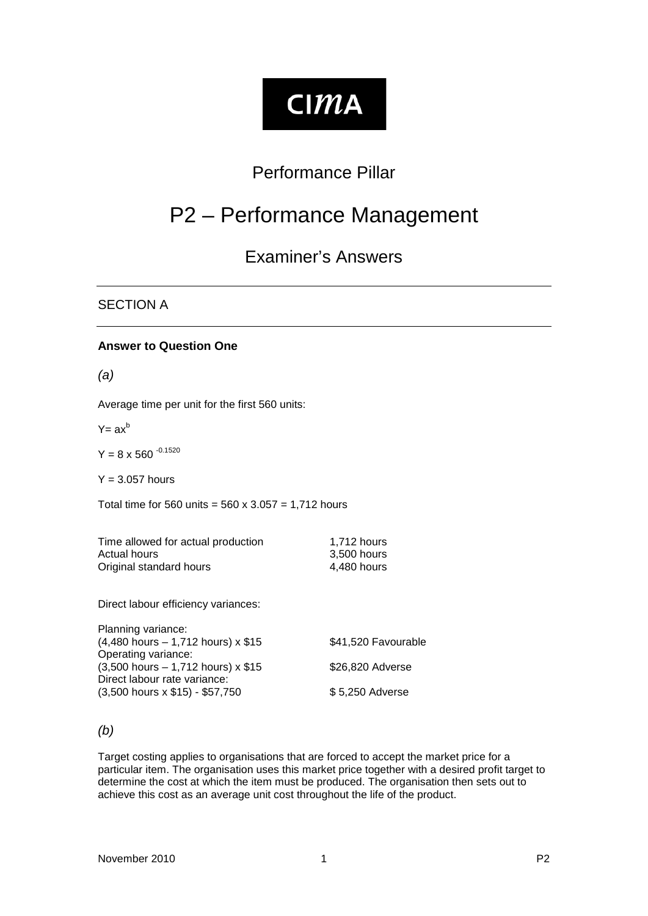# $CIMA$

## Performance Pillar

# P2 – Performance Management

### Examiner's Answers

#### SECTION A

#### **Answer to Question One**

*(a)*

Average time per unit for the first 560 units:

 $Y=ax^b$ 

 $Y = 8 \times 560^{-0.1520}$ 

 $Y = 3.057$  hours

Total time for 560 units =  $560 \times 3.057 = 1,712$  hours

| Time allowed for actual production | 1,712 hours |
|------------------------------------|-------------|
| Actual hours                       | 3,500 hours |
| Original standard hours            | 4,480 hours |

Direct labour efficiency variances:

| Planning variance:                    |                     |
|---------------------------------------|---------------------|
| $(4,480$ hours $-1,712$ hours) x \$15 | \$41,520 Favourable |
| Operating variance:                   |                     |
| $(3,500$ hours $-1,712$ hours) x \$15 | \$26,820 Adverse    |
| Direct labour rate variance:          |                     |
| (3,500 hours x \$15) - \$57,750       | \$5,250 Adverse     |
|                                       |                     |

#### *(b)*

Target costing applies to organisations that are forced to accept the market price for a particular item. The organisation uses this market price together with a desired profit target to determine the cost at which the item must be produced. The organisation then sets out to achieve this cost as an average unit cost throughout the life of the product.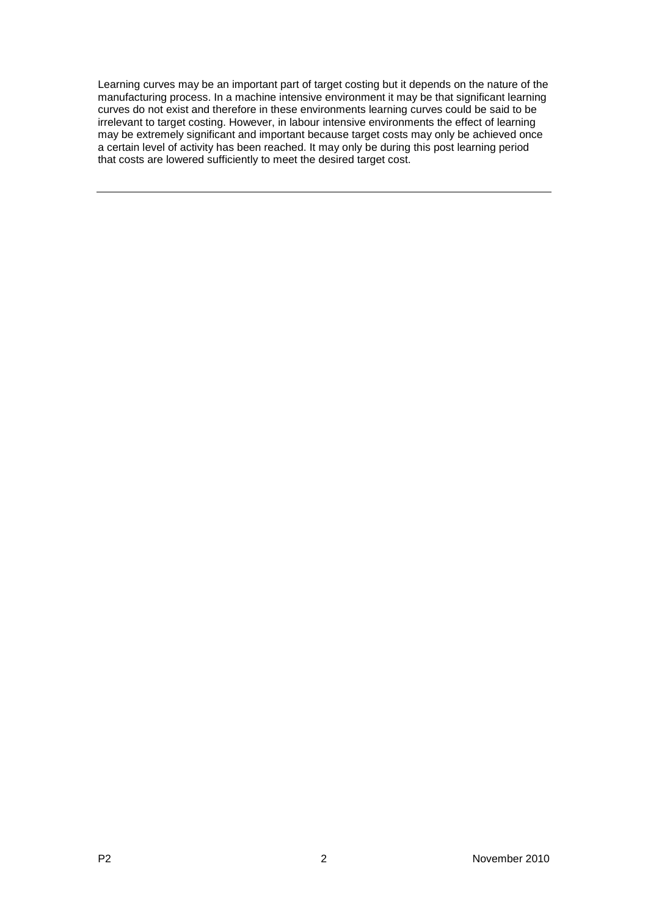Learning curves may be an important part of target costing but it depends on the nature of the manufacturing process. In a machine intensive environment it may be that significant learning curves do not exist and therefore in these environments learning curves could be said to be irrelevant to target costing. However, in labour intensive environments the effect of learning may be extremely significant and important because target costs may only be achieved once a certain level of activity has been reached. It may only be during this post learning period that costs are lowered sufficiently to meet the desired target cost.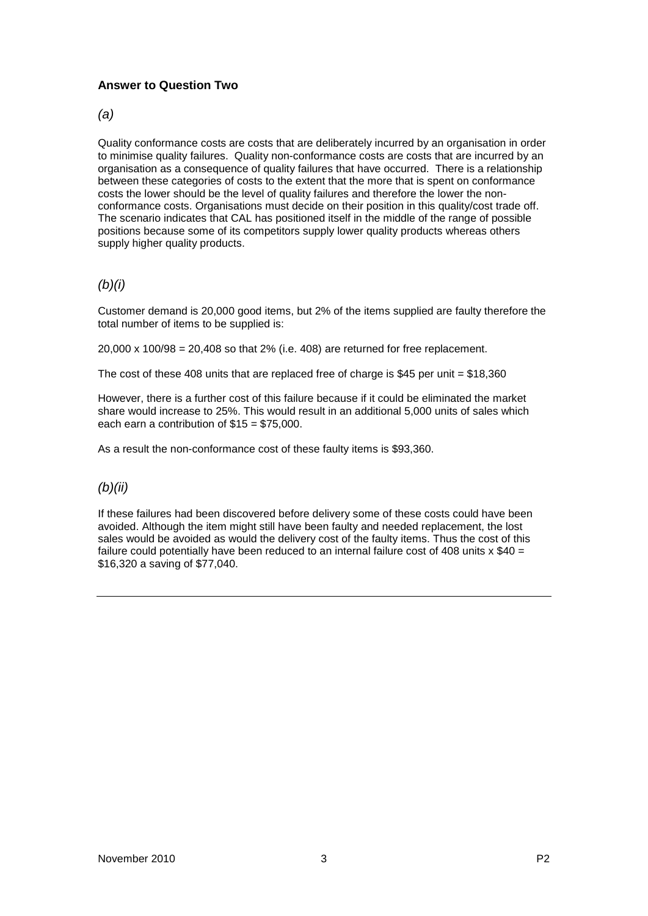#### **Answer to Question Two**

#### *(a)*

Quality conformance costs are costs that are deliberately incurred by an organisation in order to minimise quality failures. Quality non-conformance costs are costs that are incurred by an organisation as a consequence of quality failures that have occurred. There is a relationship between these categories of costs to the extent that the more that is spent on conformance costs the lower should be the level of quality failures and therefore the lower the nonconformance costs. Organisations must decide on their position in this quality/cost trade off. The scenario indicates that CAL has positioned itself in the middle of the range of possible positions because some of its competitors supply lower quality products whereas others supply higher quality products.

#### *(b)(i)*

Customer demand is 20,000 good items, but 2% of the items supplied are faulty therefore the total number of items to be supplied is:

 $20,000 \times 100/98 = 20,408$  so that  $2\%$  (i.e. 408) are returned for free replacement.

The cost of these 408 units that are replaced free of charge is \$45 per unit =  $$18,360$ 

However, there is a further cost of this failure because if it could be eliminated the market share would increase to 25%. This would result in an additional 5,000 units of sales which each earn a contribution of \$15 = \$75,000.

As a result the non-conformance cost of these faulty items is \$93,360.

#### *(b)(ii)*

If these failures had been discovered before delivery some of these costs could have been avoided. Although the item might still have been faulty and needed replacement, the lost sales would be avoided as would the delivery cost of the faulty items. Thus the cost of this failure could potentially have been reduced to an internal failure cost of 408 units  $x$  \$40 = \$16,320 a saving of \$77,040.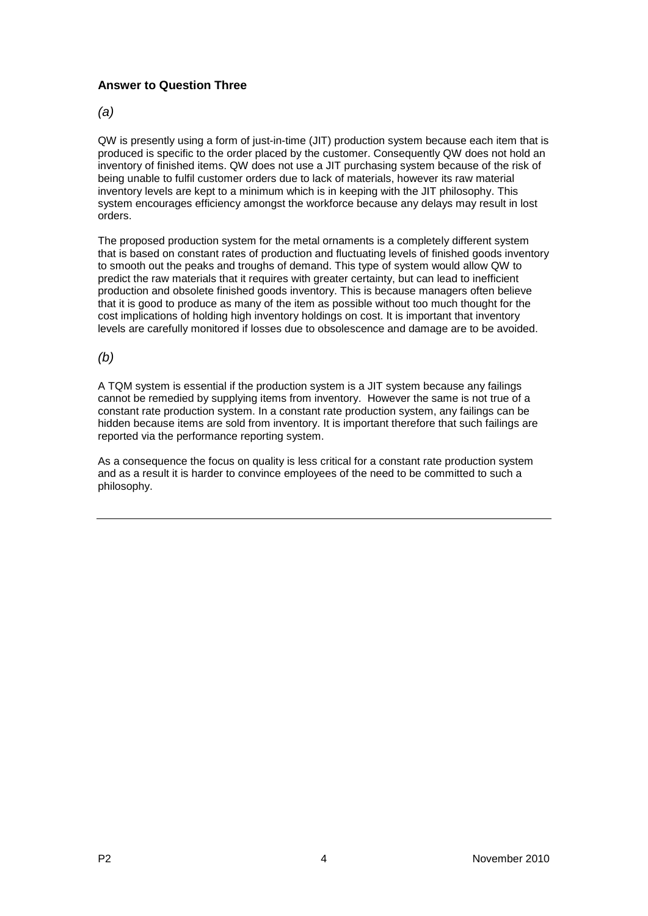#### **Answer to Question Three**

#### *(a)*

QW is presently using a form of just-in-time (JIT) production system because each item that is produced is specific to the order placed by the customer. Consequently QW does not hold an inventory of finished items. QW does not use a JIT purchasing system because of the risk of being unable to fulfil customer orders due to lack of materials, however its raw material inventory levels are kept to a minimum which is in keeping with the JIT philosophy. This system encourages efficiency amongst the workforce because any delays may result in lost orders.

The proposed production system for the metal ornaments is a completely different system that is based on constant rates of production and fluctuating levels of finished goods inventory to smooth out the peaks and troughs of demand. This type of system would allow QW to predict the raw materials that it requires with greater certainty, but can lead to inefficient production and obsolete finished goods inventory. This is because managers often believe that it is good to produce as many of the item as possible without too much thought for the cost implications of holding high inventory holdings on cost. It is important that inventory levels are carefully monitored if losses due to obsolescence and damage are to be avoided.

#### *(b)*

A TQM system is essential if the production system is a JIT system because any failings cannot be remedied by supplying items from inventory. However the same is not true of a constant rate production system. In a constant rate production system, any failings can be hidden because items are sold from inventory. It is important therefore that such failings are reported via the performance reporting system.

As a consequence the focus on quality is less critical for a constant rate production system and as a result it is harder to convince employees of the need to be committed to such a philosophy.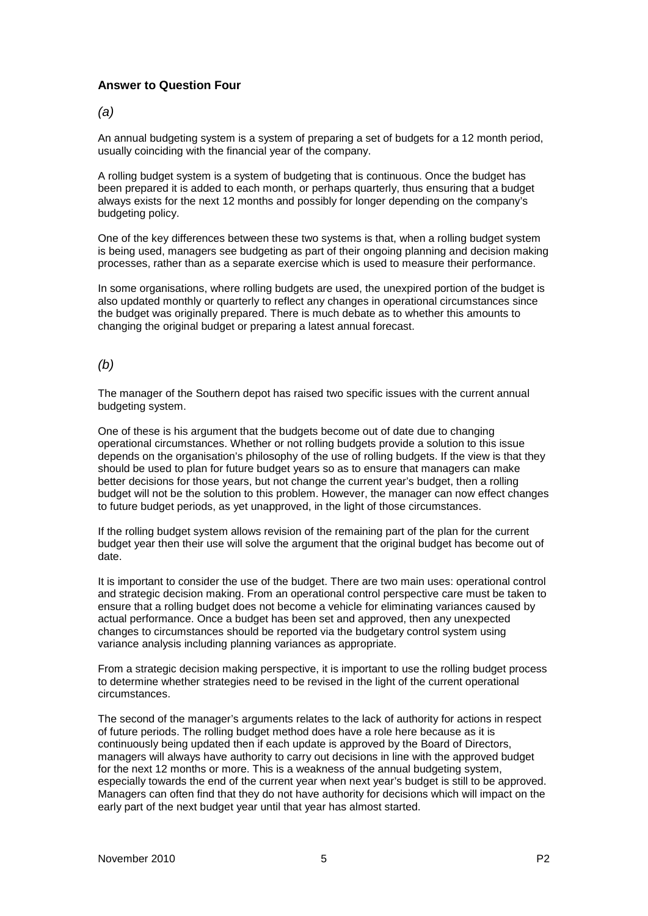#### **Answer to Question Four**

#### *(a)*

An annual budgeting system is a system of preparing a set of budgets for a 12 month period, usually coinciding with the financial year of the company.

A rolling budget system is a system of budgeting that is continuous. Once the budget has been prepared it is added to each month, or perhaps quarterly, thus ensuring that a budget always exists for the next 12 months and possibly for longer depending on the company's budgeting policy.

One of the key differences between these two systems is that, when a rolling budget system is being used, managers see budgeting as part of their ongoing planning and decision making processes, rather than as a separate exercise which is used to measure their performance.

In some organisations, where rolling budgets are used, the unexpired portion of the budget is also updated monthly or quarterly to reflect any changes in operational circumstances since the budget was originally prepared. There is much debate as to whether this amounts to changing the original budget or preparing a latest annual forecast.

#### *(b)*

The manager of the Southern depot has raised two specific issues with the current annual budgeting system.

One of these is his argument that the budgets become out of date due to changing operational circumstances. Whether or not rolling budgets provide a solution to this issue depends on the organisation's philosophy of the use of rolling budgets. If the view is that they should be used to plan for future budget years so as to ensure that managers can make better decisions for those years, but not change the current year's budget, then a rolling budget will not be the solution to this problem. However, the manager can now effect changes to future budget periods, as yet unapproved, in the light of those circumstances.

If the rolling budget system allows revision of the remaining part of the plan for the current budget year then their use will solve the argument that the original budget has become out of date.

It is important to consider the use of the budget. There are two main uses: operational control and strategic decision making. From an operational control perspective care must be taken to ensure that a rolling budget does not become a vehicle for eliminating variances caused by actual performance. Once a budget has been set and approved, then any unexpected changes to circumstances should be reported via the budgetary control system using variance analysis including planning variances as appropriate.

From a strategic decision making perspective, it is important to use the rolling budget process to determine whether strategies need to be revised in the light of the current operational circumstances.

The second of the manager's arguments relates to the lack of authority for actions in respect of future periods. The rolling budget method does have a role here because as it is continuously being updated then if each update is approved by the Board of Directors, managers will always have authority to carry out decisions in line with the approved budget for the next 12 months or more. This is a weakness of the annual budgeting system, especially towards the end of the current year when next year's budget is still to be approved. Managers can often find that they do not have authority for decisions which will impact on the early part of the next budget year until that year has almost started.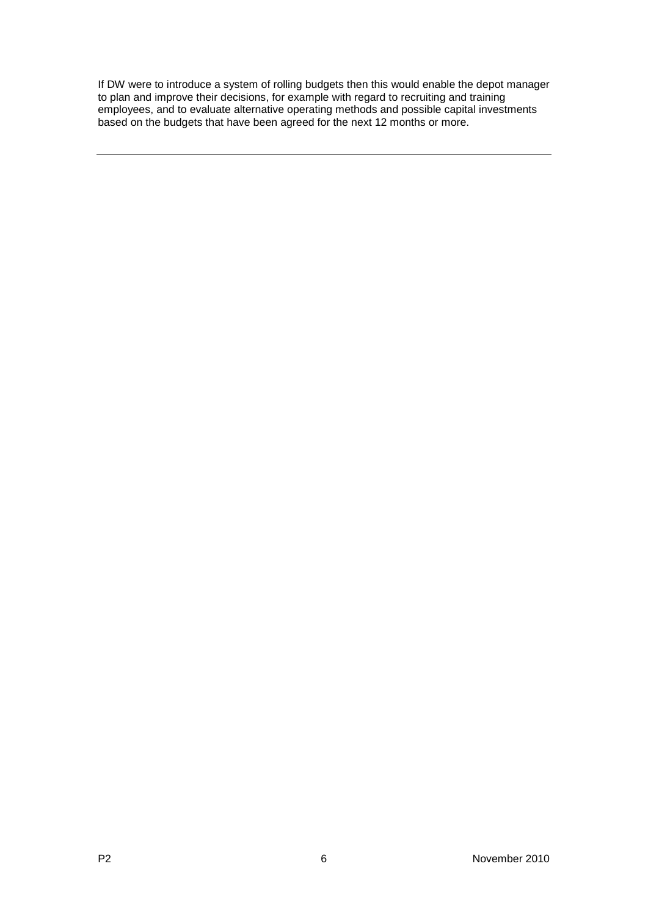If DW were to introduce a system of rolling budgets then this would enable the depot manager to plan and improve their decisions, for example with regard to recruiting and training employees, and to evaluate alternative operating methods and possible capital investments based on the budgets that have been agreed for the next 12 months or more.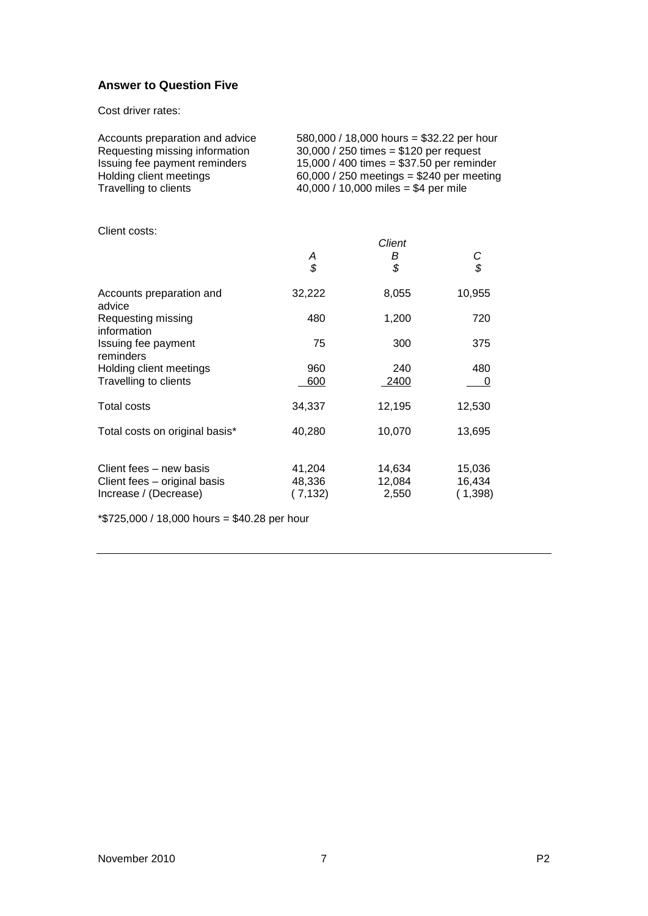#### **Answer to Question Five**

Cost driver rates:

| Accounts preparation and advice | 580,000 / 18,000 hours = \$32.22 per hour   |
|---------------------------------|---------------------------------------------|
| Requesting missing information  | $30,000 / 250$ times = \$120 per request    |
| Issuing fee payment reminders   | 15,000 / 400 times = $$37.50$ per reminder  |
| Holding client meetings         | $60,000 / 250$ meetings = \$240 per meeting |
| Travelling to clients           | 40,000 / 10,000 miles = \$4 per mile        |

Client costs:

|                                                                                  | Α<br>\$                      | Client<br>В<br>\$         | \$                          |
|----------------------------------------------------------------------------------|------------------------------|---------------------------|-----------------------------|
| Accounts preparation and<br>advice                                               | 32,222                       | 8,055                     | 10,955                      |
| Requesting missing<br>information                                                | 480                          | 1,200                     | 720                         |
| Issuing fee payment<br>reminders                                                 | 75                           | 300                       | 375                         |
| Holding client meetings<br>Travelling to clients                                 | 960<br>600                   | 240<br>2400               | 480<br>U                    |
| <b>Total costs</b>                                                               | 34,337                       | 12,195                    | 12,530                      |
| Total costs on original basis*                                                   | 40,280                       | 10,070                    | 13,695                      |
| Client fees - new basis<br>Client fees - original basis<br>Increase / (Decrease) | 41,204<br>48,336<br>(7, 132) | 14,634<br>12,084<br>2,550 | 15,036<br>16,434<br>(1,398) |

\*\$725,000 / 18,000 hours = \$40.28 per hour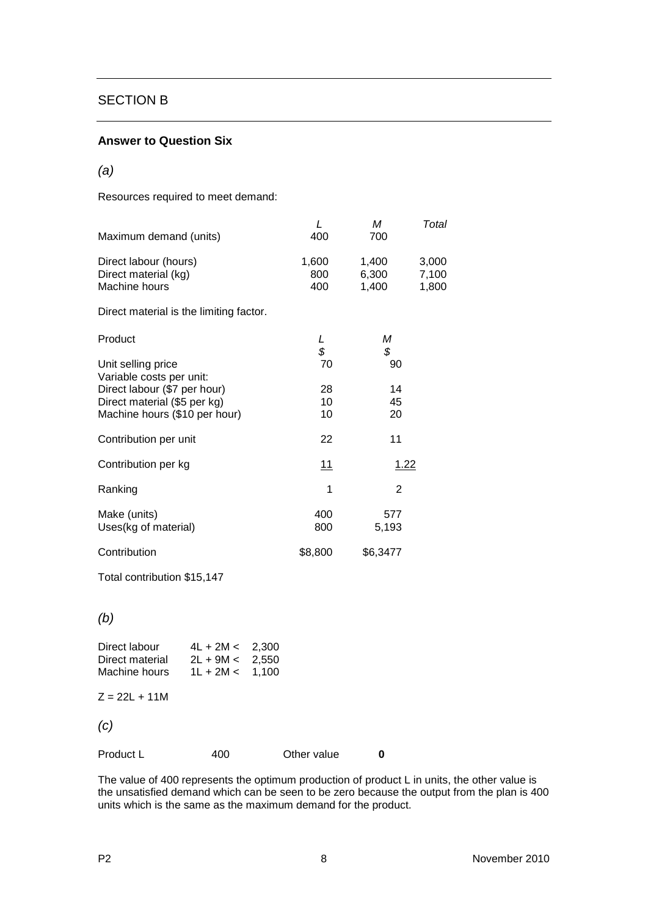#### SECTION B

#### **Answer to Question Six**

#### *(a)*

Resources required to meet demand:

| Maximum demand (units)                                         | L<br>400            | М<br>700                | Total                   |
|----------------------------------------------------------------|---------------------|-------------------------|-------------------------|
| Direct labour (hours)<br>Direct material (kg)<br>Machine hours | 1,600<br>800<br>400 | 1,400<br>6,300<br>1,400 | 3,000<br>7,100<br>1,800 |
| Direct material is the limiting factor.                        |                     |                         |                         |
| Product                                                        | L<br>\$             | Μ<br>\$                 |                         |
| Unit selling price<br>Variable costs per unit:                 | 70                  | 90                      |                         |
| Direct labour (\$7 per hour)                                   | 28                  | 14                      |                         |
| Direct material (\$5 per kg)<br>Machine hours (\$10 per hour)  | 10<br>10            | 45<br>20                |                         |
| Contribution per unit                                          | 22                  | 11                      |                         |
| Contribution per kg                                            | 11                  | 1.22                    |                         |
| Ranking                                                        | 1                   | $\overline{2}$          |                         |
| Make (units)<br>Uses(kg of material)                           | 400<br>800          | 577<br>5,193            |                         |
| Contribution                                                   | \$8,800             | \$6,3477                |                         |

Total contribution \$15,147

*(b)*

| Direct labour   | 4L + 2M <   | 2.300 |
|-----------------|-------------|-------|
| Direct material | $2L + 9M <$ | 2.550 |
| Machine hours   | $1L + 2M <$ | 1.100 |

 $Z = 22L + 11M$ 

*(c)*

| Product L | 400 | Other value |  |
|-----------|-----|-------------|--|
|           |     |             |  |

The value of 400 represents the optimum production of product L in units, the other value is the unsatisfied demand which can be seen to be zero because the output from the plan is 400 units which is the same as the maximum demand for the product.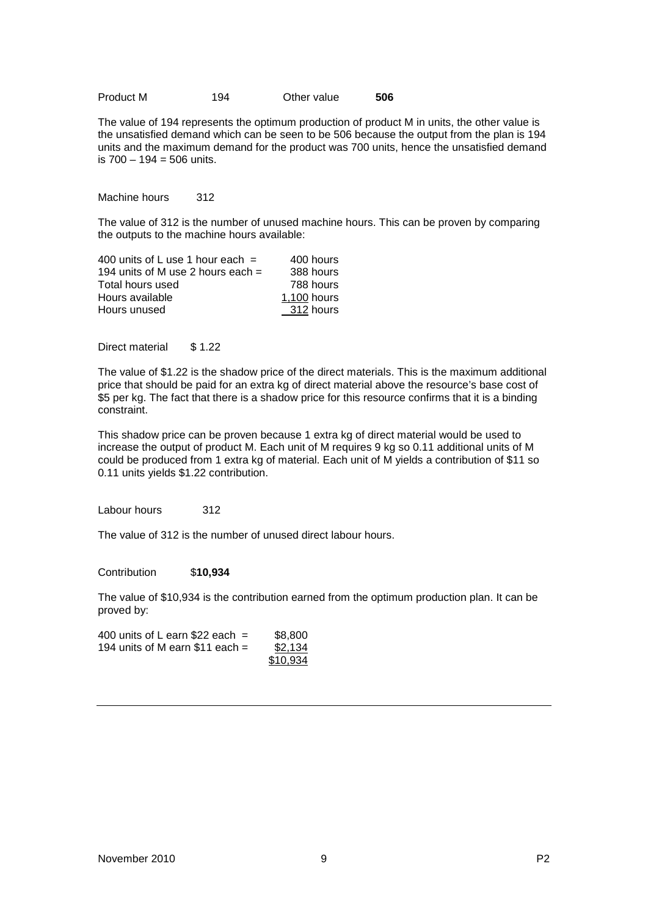| Product M | 194 | Other value | 506 |
|-----------|-----|-------------|-----|
|-----------|-----|-------------|-----|

The value of 194 represents the optimum production of product M in units, the other value is the unsatisfied demand which can be seen to be 506 because the output from the plan is 194 units and the maximum demand for the product was 700 units, hence the unsatisfied demand is 700 – 194 = 506 units.

Machine hours 312

The value of 312 is the number of unused machine hours. This can be proven by comparing the outputs to the machine hours available:

| 400 units of L use 1 hour each $=$  | 400 hours   |
|-------------------------------------|-------------|
| 194 units of M use 2 hours each $=$ | 388 hours   |
| Total hours used                    | 788 hours   |
| Hours available                     | 1,100 hours |
| Hours unused                        | 312 hours   |

Direct material \$ 1.22

The value of \$1.22 is the shadow price of the direct materials. This is the maximum additional price that should be paid for an extra kg of direct material above the resource's base cost of \$5 per kg. The fact that there is a shadow price for this resource confirms that it is a binding constraint.

This shadow price can be proven because 1 extra kg of direct material would be used to increase the output of product M. Each unit of M requires 9 kg so 0.11 additional units of M could be produced from 1 extra kg of material. Each unit of M yields a contribution of \$11 so 0.11 units yields \$1.22 contribution.

Labour hours 312

The value of 312 is the number of unused direct labour hours.

Contribution \$**10,934**

The value of \$10,934 is the contribution earned from the optimum production plan. It can be proved by:

| 400 units of L earn \$22 each =   | \$8,800  |
|-----------------------------------|----------|
| 194 units of M earn \$11 each $=$ | \$2,134  |
|                                   | \$10,934 |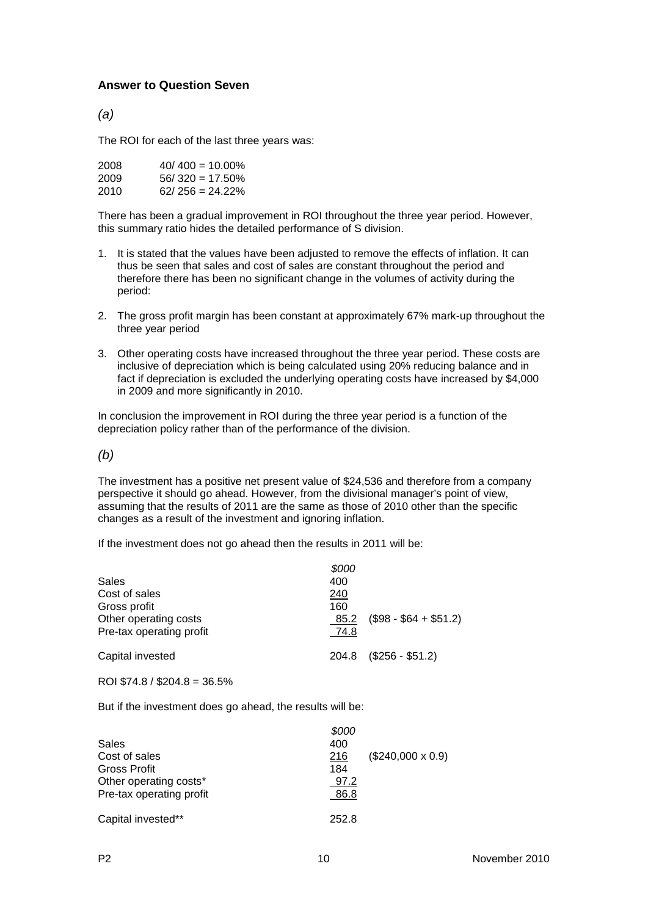#### **Answer to Question Seven**

#### *(a)*

The ROI for each of the last three years was:

| 2008 | $40/400 = 10.00\%$ |
|------|--------------------|
| 2009 | $56/320 = 17.50\%$ |
| 2010 | $62/256 = 24.22\%$ |

There has been a gradual improvement in ROI throughout the three year period. However, this summary ratio hides the detailed performance of S division.

- 1. It is stated that the values have been adjusted to remove the effects of inflation. It can thus be seen that sales and cost of sales are constant throughout the period and therefore there has been no significant change in the volumes of activity during the period:
- 2. The gross profit margin has been constant at approximately 67% mark-up throughout the three year period
- 3. Other operating costs have increased throughout the three year period. These costs are inclusive of depreciation which is being calculated using 20% reducing balance and in fact if depreciation is excluded the underlying operating costs have increased by \$4,000 in 2009 and more significantly in 2010.

In conclusion the improvement in ROI during the three year period is a function of the depreciation policy rather than of the performance of the division.

*(b)*

The investment has a positive net present value of \$24,536 and therefore from a company perspective it should go ahead. However, from the divisional manager's point of view, assuming that the results of 2011 are the same as those of 2010 other than the specific changes as a result of the investment and ignoring inflation.

If the investment does not go ahead then the results in 2011 will be:

|                          | \$000 |                       |
|--------------------------|-------|-----------------------|
| Sales                    | 400   |                       |
| Cost of sales            | 240   |                       |
| Gross profit             | 160   |                       |
| Other operating costs    | 85.2  | $($98 - $64 + $51.2)$ |
| Pre-tax operating profit | 74.8  |                       |
| Capital invested         | 204.8 | (\$256 - \$51.2)      |
| -------------            |       |                       |

ROI \$74.8 / \$204.8 = 36.5%

But if the investment does go ahead, the results will be:

| Sales<br>Cost of sales<br>Gross Profit<br>Other operating costs*<br>Pre-tax operating profit | \$000<br>400<br>216<br>184<br>97.2<br>86.8 | $($240,000 \times 0.9)$ |
|----------------------------------------------------------------------------------------------|--------------------------------------------|-------------------------|
| Capital invested**                                                                           | 252.8                                      |                         |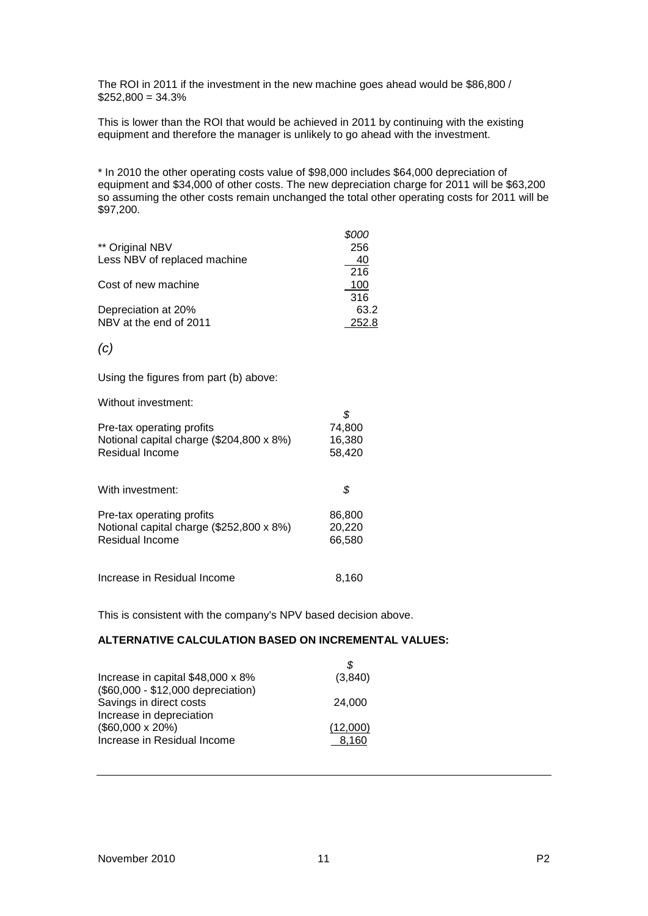The ROI in 2011 if the investment in the new machine goes ahead would be \$86,800 /  $$252,800 = 34.3\%$ 

This is lower than the ROI that would be achieved in 2011 by continuing with the existing equipment and therefore the manager is unlikely to go ahead with the investment.

\* In 2010 the other operating costs value of \$98,000 includes \$64,000 depreciation of equipment and \$34,000 of other costs. The new depreciation charge for 2011 will be \$63,200 so assuming the other costs remain unchanged the total other operating costs for 2011 will be \$97,200.

|                              | \$000 |
|------------------------------|-------|
| ** Original NBV              | 256   |
| Less NBV of replaced machine | 40    |
|                              | 216   |
| Cost of new machine          | 100   |
|                              | 316   |
| Depreciation at 20%          | 63.2  |
| NBV at the end of 2011       | 252.8 |

*(c)*

Using the figures from part (b) above:

Without investment:

| Pre-tax operating profits                | 74,800 |
|------------------------------------------|--------|
| Notional capital charge (\$204,800 x 8%) | 16,380 |
| Residual Income                          | 58,420 |
| With investment:                         | S      |
| Pre-tax operating profits                | 86,800 |
| Notional capital charge (\$252,800 x 8%) | 20,220 |
| Residual Income                          | 66,580 |
| Increase in Residual Income              | 8.160  |

This is consistent with the company's NPV based decision above.

#### **ALTERNATIVE CALCULATION BASED ON INCREMENTAL VALUES:**

|                                    | S        |
|------------------------------------|----------|
| Increase in capital \$48,000 x 8%  | (3,840)  |
| (\$60,000 - \$12,000 depreciation) |          |
| Savings in direct costs            | 24.000   |
| Increase in depreciation           |          |
| $($60,000 \times 20\%)$            | (12,000) |
| Increase in Residual Income        | 8.160    |